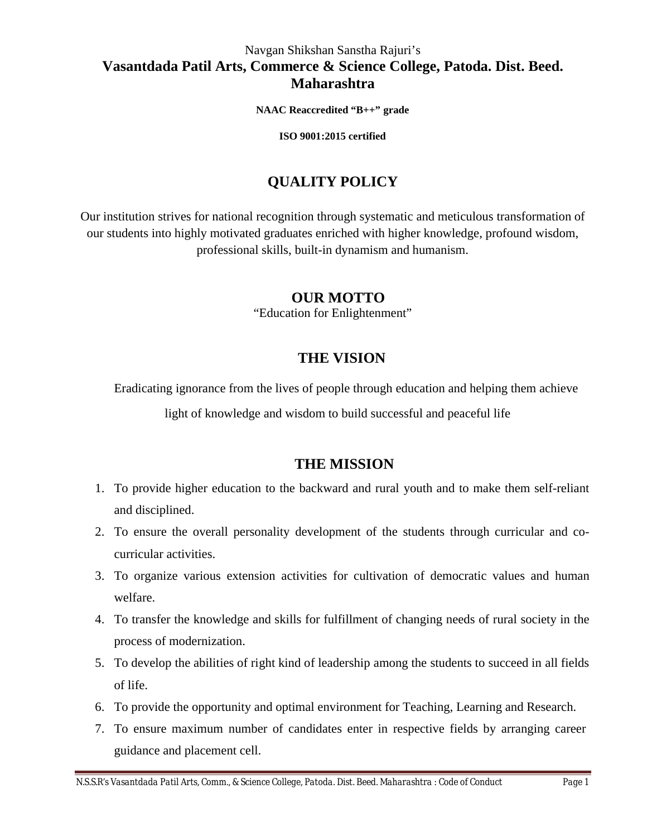## Navgan Shikshan Sanstha Rajuri's **Vasantdada Patil Arts, Commerce & Science College, Patoda. Dist. Beed. Maharashtra**

**NAAC Reaccredited "B++" grade**

**ISO 9001:2015 certified**

# **QUALITY POLICY**

Our institution strives for national recognition through systematic and meticulous transformation of our students into highly motivated graduates enriched with higher knowledge, profound wisdom, professional skills, built-in dynamism and humanism.

### **OUR MOTTO**

"Education for Enlightenment"

# **THE VISION**

Eradicating ignorance from the lives of people through education and helping them achieve

light of knowledge and wisdom to build successful and peaceful life

# **THE MISSION**

- 1. To provide higher education to the backward and rural youth and to make them self-reliant and disciplined.
- 2. To ensure the overall personality development of the students through curricular and cocurricular activities.
- 3. To organize various extension activities for cultivation of democratic values and human welfare.
- 4. To transfer the knowledge and skills for fulfillment of changing needs of rural society in the process of modernization.
- 5. To develop the abilities of right kind of leadership among the students to succeed in all fields of life.
- 6. To provide the opportunity and optimal environment for Teaching, Learning and Research.
- 7. To ensure maximum number of candidates enter in respective fields by arranging career guidance and placement cell.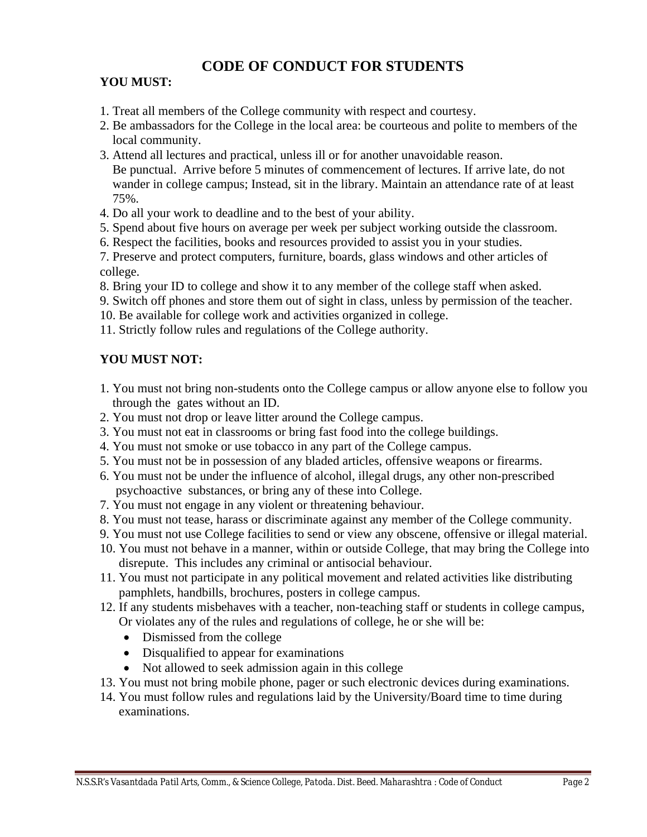# **CODE OF CONDUCT FOR STUDENTS**

#### **YOU MUST:**

- 1. Treat all members of the College community with respect and courtesy.
- 2. Be ambassadors for the College in the local area: be courteous and polite to members of the local community.
- 3. Attend all lectures and practical, unless ill or for another unavoidable reason. Be punctual. Arrive before 5 minutes of commencement of lectures. If arrive late, do not wander in college campus; Instead, sit in the library. Maintain an attendance rate of at least 75%.
- 4. Do all your work to deadline and to the best of your ability.
- 5. Spend about five hours on average per week per subject working outside the classroom.
- 6. Respect the facilities, books and resources provided to assist you in your studies.
- 7. Preserve and protect computers, furniture, boards, glass windows and other articles of college.
- 8. Bring your ID to college and show it to any member of the college staff when asked.
- 9. Switch off phones and store them out of sight in class, unless by permission of the teacher.
- 10. Be available for college work and activities organized in college.
- 11. Strictly follow rules and regulations of the College authority.

## **YOU MUST NOT:**

- 1. You must not bring non-students onto the College campus or allow anyone else to follow you through the gates without an ID.
- 2. You must not drop or leave litter around the College campus.
- 3. You must not eat in classrooms or bring fast food into the college buildings.
- 4. You must not smoke or use tobacco in any part of the College campus.
- 5. You must not be in possession of any bladed articles, offensive weapons or firearms.
- 6. You must not be under the influence of alcohol, illegal drugs, any other non-prescribed psychoactive substances, or bring any of these into College.
- 7. You must not engage in any violent or threatening behaviour.
- 8. You must not tease, harass or discriminate against any member of the College community.
- 9. You must not use College facilities to send or view any obscene, offensive or illegal material.
- 10. You must not behave in a manner, within or outside College, that may bring the College into disrepute. This includes any criminal or antisocial behaviour.
- 11. You must not participate in any political movement and related activities like distributing pamphlets, handbills, brochures, posters in college campus.
- 12. If any students misbehaves with a teacher, non-teaching staff or students in college campus, Or violates any of the rules and regulations of college, he or she will be:
	- Dismissed from the college
	- Disqualified to appear for examinations
	- Not allowed to seek admission again in this college
- 13. You must not bring mobile phone, pager or such electronic devices during examinations.
- 14. You must follow rules and regulations laid by the University/Board time to time during examinations.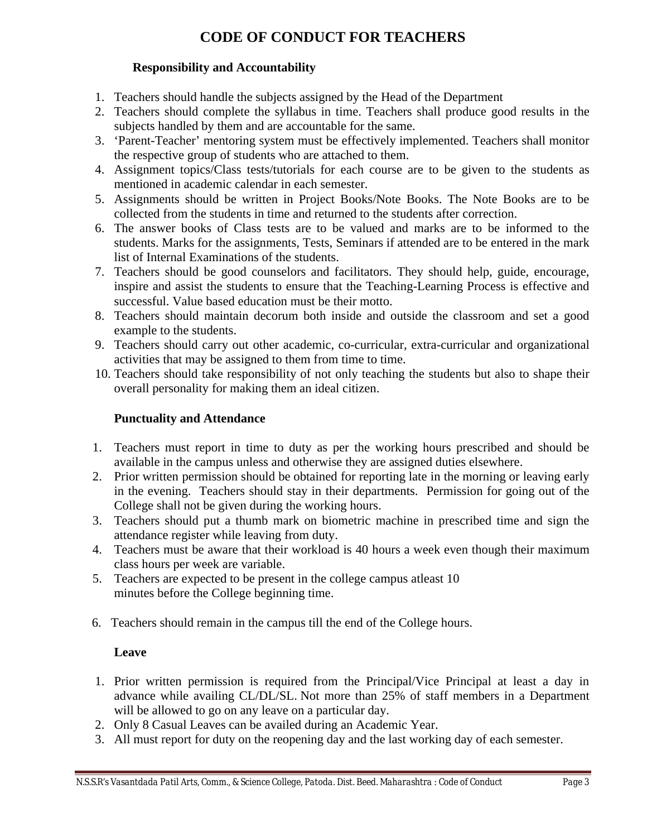# **CODE OF CONDUCT FOR TEACHERS**

#### **Responsibility and Accountability**

- 1. Teachers should handle the subjects assigned by the Head of the Department
- 2. Teachers should complete the syllabus in time. Teachers shall produce good results in the subjects handled by them and are accountable for the same.
- 3. 'Parent-Teacher' mentoring system must be effectively implemented. Teachers shall monitor the respective group of students who are attached to them.
- 4. Assignment topics/Class tests/tutorials for each course are to be given to the students as mentioned in academic calendar in each semester.
- 5. Assignments should be written in Project Books/Note Books. The Note Books are to be collected from the students in time and returned to the students after correction.
- 6. The answer books of Class tests are to be valued and marks are to be informed to the students. Marks for the assignments, Tests, Seminars if attended are to be entered in the mark list of Internal Examinations of the students.
- 7. Teachers should be good counselors and facilitators. They should help, guide, encourage, inspire and assist the students to ensure that the Teaching-Learning Process is effective and successful. Value based education must be their motto.
- 8. Teachers should maintain decorum both inside and outside the classroom and set a good example to the students.
- 9. Teachers should carry out other academic, co-curricular, extra-curricular and organizational activities that may be assigned to them from time to time.
- 10. Teachers should take responsibility of not only teaching the students but also to shape their overall personality for making them an ideal citizen.

#### **Punctuality and Attendance**

- 1. Teachers must report in time to duty as per the working hours prescribed and should be available in the campus unless and otherwise they are assigned duties elsewhere.
- 2. Prior written permission should be obtained for reporting late in the morning or leaving early in the evening. Teachers should stay in their departments. Permission for going out of the College shall not be given during the working hours.
- 3. Teachers should put a thumb mark on biometric machine in prescribed time and sign the attendance register while leaving from duty.
- 4. Teachers must be aware that their workload is 40 hours a week even though their maximum class hours per week are variable.
- 5. Teachers are expected to be present in the college campus atleast 10 minutes before the College beginning time.
- 6. Teachers should remain in the campus till the end of the College hours.

#### **Leave**

- 1. Prior written permission is required from the Principal/Vice Principal at least a day in advance while availing CL/DL/SL. Not more than 25% of staff members in a Department will be allowed to go on any leave on a particular day.
- 2. Only 8 Casual Leaves can be availed during an Academic Year.
- 3. All must report for duty on the reopening day and the last working day of each semester.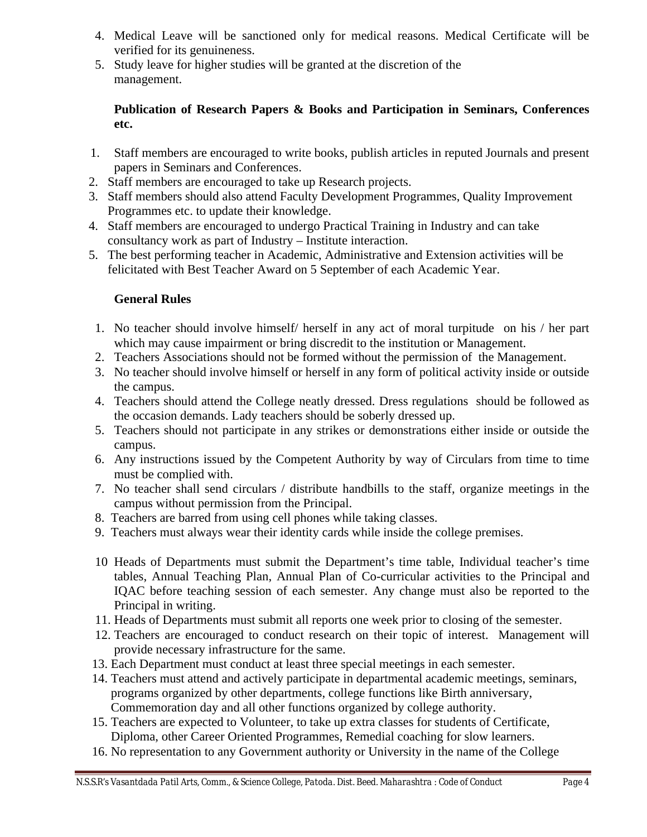- 4. Medical Leave will be sanctioned only for medical reasons. Medical Certificate will be verified for its genuineness.
- 5. Study leave for higher studies will be granted at the discretion of the management.

#### **Publication of Research Papers & Books and Participation in Seminars, Conferences etc.**

- 1. Staff members are encouraged to write books, publish articles in reputed Journals and present papers in Seminars and Conferences.
- 2. Staff members are encouraged to take up Research projects.
- 3. Staff members should also attend Faculty Development Programmes, Quality Improvement Programmes etc. to update their knowledge.
- 4. Staff members are encouraged to undergo Practical Training in Industry and can take consultancy work as part of Industry – Institute interaction.
- 5. The best performing teacher in Academic, Administrative and Extension activities will be felicitated with Best Teacher Award on 5 September of each Academic Year.

#### **General Rules**

- 1. No teacher should involve himself/ herself in any act of moral turpitude on his / her part which may cause impairment or bring discredit to the institution or Management.
- 2. Teachers Associations should not be formed without the permission of the Management.
- 3. No teacher should involve himself or herself in any form of political activity inside or outside the campus.
- 4. Teachers should attend the College neatly dressed. Dress regulations should be followed as the occasion demands. Lady teachers should be soberly dressed up.
- 5. Teachers should not participate in any strikes or demonstrations either inside or outside the campus.
- 6. Any instructions issued by the Competent Authority by way of Circulars from time to time must be complied with.
- 7. No teacher shall send circulars / distribute handbills to the staff, organize meetings in the campus without permission from the Principal.
- 8. Teachers are barred from using cell phones while taking classes.
- 9. Teachers must always wear their identity cards while inside the college premises.
- 10 Heads of Departments must submit the Department's time table, Individual teacher's time tables, Annual Teaching Plan, Annual Plan of Co-curricular activities to the Principal and IQAC before teaching session of each semester. Any change must also be reported to the Principal in writing.
- 11. Heads of Departments must submit all reports one week prior to closing of the semester.
- 12. Teachers are encouraged to conduct research on their topic of interest. Management will provide necessary infrastructure for the same.
- 13. Each Department must conduct at least three special meetings in each semester.
- 14. Teachers must attend and actively participate in departmental academic meetings, seminars, programs organized by other departments, college functions like Birth anniversary, Commemoration day and all other functions organized by college authority.
- 15. Teachers are expected to Volunteer, to take up extra classes for students of Certificate, Diploma, other Career Oriented Programmes, Remedial coaching for slow learners.
- 16. No representation to any Government authority or University in the name of the College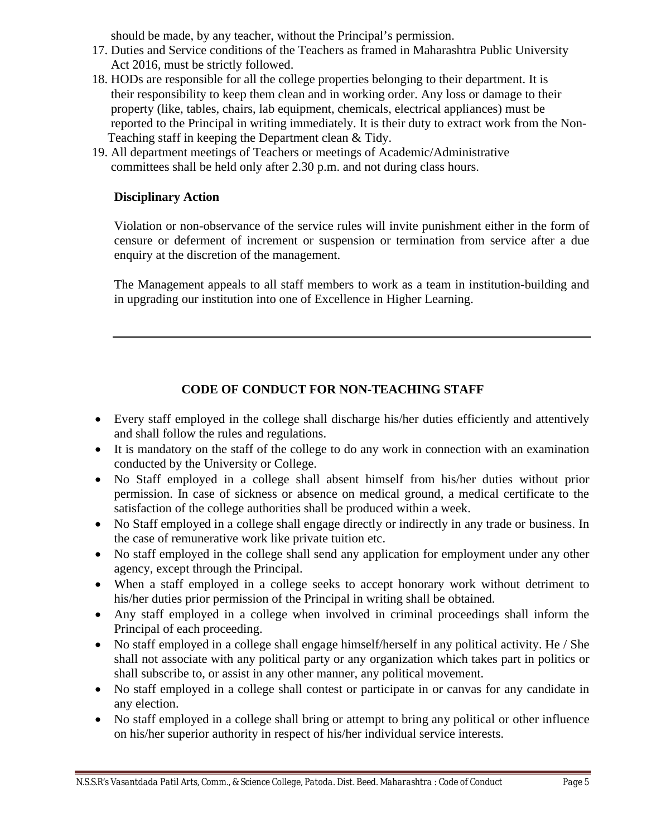should be made, by any teacher, without the Principal's permission.

- 17. Duties and Service conditions of the Teachers as framed in Maharashtra Public University Act 2016, must be strictly followed.
- 18. HODs are responsible for all the college properties belonging to their department. It is their responsibility to keep them clean and in working order. Any loss or damage to their property (like, tables, chairs, lab equipment, chemicals, electrical appliances) must be reported to the Principal in writing immediately. It is their duty to extract work from the Non- Teaching staff in keeping the Department clean & Tidy.
- 19. All department meetings of Teachers or meetings of Academic/Administrative committees shall be held only after 2.30 p.m. and not during class hours.

#### **Disciplinary Action**

Violation or non-observance of the service rules will invite punishment either in the form of censure or deferment of increment or suspension or termination from service after a due enquiry at the discretion of the management.

The Management appeals to all staff members to work as a team in institution-building and in upgrading our institution into one of Excellence in Higher Learning.

## **CODE OF CONDUCT FOR NON-TEACHING STAFF**

- Every staff employed in the college shall discharge his/her duties efficiently and attentively and shall follow the rules and regulations.
- It is mandatory on the staff of the college to do any work in connection with an examination conducted by the University or College.
- No Staff employed in a college shall absent himself from his/her duties without prior permission. In case of sickness or absence on medical ground, a medical certificate to the satisfaction of the college authorities shall be produced within a week.
- No Staff employed in a college shall engage directly or indirectly in any trade or business. In the case of remunerative work like private tuition etc.
- No staff employed in the college shall send any application for employment under any other agency, except through the Principal.
- When a staff employed in a college seeks to accept honorary work without detriment to his/her duties prior permission of the Principal in writing shall be obtained.
- Any staff employed in a college when involved in criminal proceedings shall inform the Principal of each proceeding.
- No staff employed in a college shall engage himself/herself in any political activity. He / She shall not associate with any political party or any organization which takes part in politics or shall subscribe to, or assist in any other manner, any political movement.
- No staff employed in a college shall contest or participate in or canvas for any candidate in any election.
- No staff employed in a college shall bring or attempt to bring any political or other influence on his/her superior authority in respect of his/her individual service interests.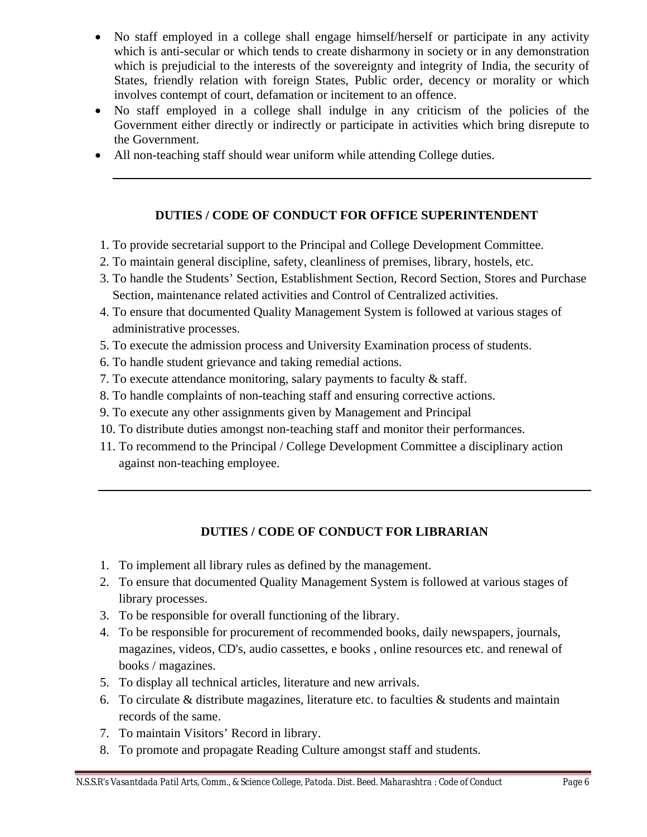- No staff employed in a college shall engage himself/herself or participate in any activity which is anti-secular or which tends to create disharmony in society or in any demonstration which is prejudicial to the interests of the sovereignty and integrity of India, the security of States, friendly relation with foreign States, Public order, decency or morality or which involves contempt of court, defamation or incitement to an offence.
- No staff employed in a college shall indulge in any criticism of the policies of the Government either directly or indirectly or participate in activities which bring disrepute to the Government.
- All non-teaching staff should wear uniform while attending College duties.

### **DUTIES / CODE OF CONDUCT FOR OFFICE SUPERINTENDENT**

- 1. To provide secretarial support to the Principal and College Development Committee.
- 2. To maintain general discipline, safety, cleanliness of premises, library, hostels, etc.
- 3. To handle the Students' Section, Establishment Section, Record Section, Stores and Purchase Section, maintenance related activities and Control of Centralized activities.
- 4. To ensure that documented Quality Management System is followed at various stages of administrative processes.
- 5. To execute the admission process and University Examination process of students.
- 6. To handle student grievance and taking remedial actions.
- 7. To execute attendance monitoring, salary payments to faculty & staff.
- 8. To handle complaints of non-teaching staff and ensuring corrective actions.
- 9. To execute any other assignments given by Management and Principal
- 10. To distribute duties amongst non-teaching staff and monitor their performances.
- 11. To recommend to the Principal / College Development Committee a disciplinary action against non-teaching employee.

## **DUTIES / CODE OF CONDUCT FOR LIBRARIAN**

- 1. To implement all library rules as defined by the management.
- 2. To ensure that documented Quality Management System is followed at various stages of library processes.
- 3. To be responsible for overall functioning of the library.
- 4. To be responsible for procurement of recommended books, daily newspapers, journals, magazines, videos, CD's, audio cassettes, e books , online resources etc. and renewal of books / magazines.
- 5. To display all technical articles, literature and new arrivals.
- 6. To circulate  $\&$  distribute magazines, literature etc. to faculties  $\&$  students and maintain records of the same.
- 7. To maintain Visitors' Record in library.
- 8. To promote and propagate Reading Culture amongst staff and students.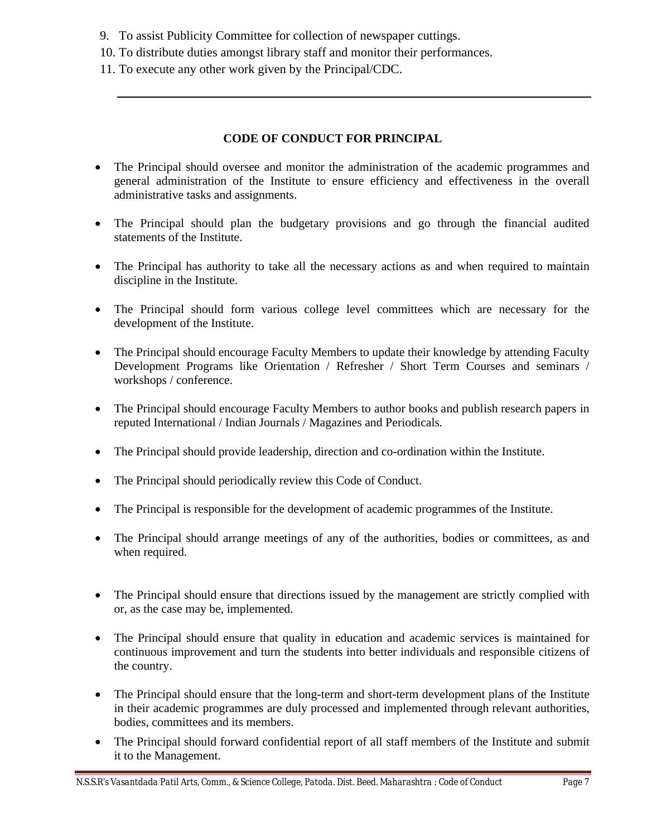- 9. To assist Publicity Committee for collection of newspaper cuttings.
- 10. To distribute duties amongst library staff and monitor their performances.
- 11. To execute any other work given by the Principal/CDC.

#### **CODE OF CONDUCT FOR PRINCIPAL**

- The Principal should oversee and monitor the administration of the academic programmes and general administration of the Institute to ensure efficiency and effectiveness in the overall administrative tasks and assignments.
- The Principal should plan the budgetary provisions and go through the financial audited statements of the Institute.
- The Principal has authority to take all the necessary actions as and when required to maintain discipline in the Institute.
- The Principal should form various college level committees which are necessary for the development of the Institute.
- The Principal should encourage Faculty Members to update their knowledge by attending Faculty Development Programs like Orientation / Refresher / Short Term Courses and seminars / workshops / conference.
- The Principal should encourage Faculty Members to author books and publish research papers in reputed International / Indian Journals / Magazines and Periodicals.
- The Principal should provide leadership, direction and co-ordination within the Institute.
- The Principal should periodically review this Code of Conduct.
- The Principal is responsible for the development of academic programmes of the Institute.
- The Principal should arrange meetings of any of the authorities, bodies or committees, as and when required.
- The Principal should ensure that directions issued by the management are strictly complied with or, as the case may be, implemented.
- The Principal should ensure that quality in education and academic services is maintained for continuous improvement and turn the students into better individuals and responsible citizens of the country.
- The Principal should ensure that the long-term and short-term development plans of the Institute in their academic programmes are duly processed and implemented through relevant authorities, bodies, committees and its members.
- The Principal should forward confidential report of all staff members of the Institute and submit it to the Management.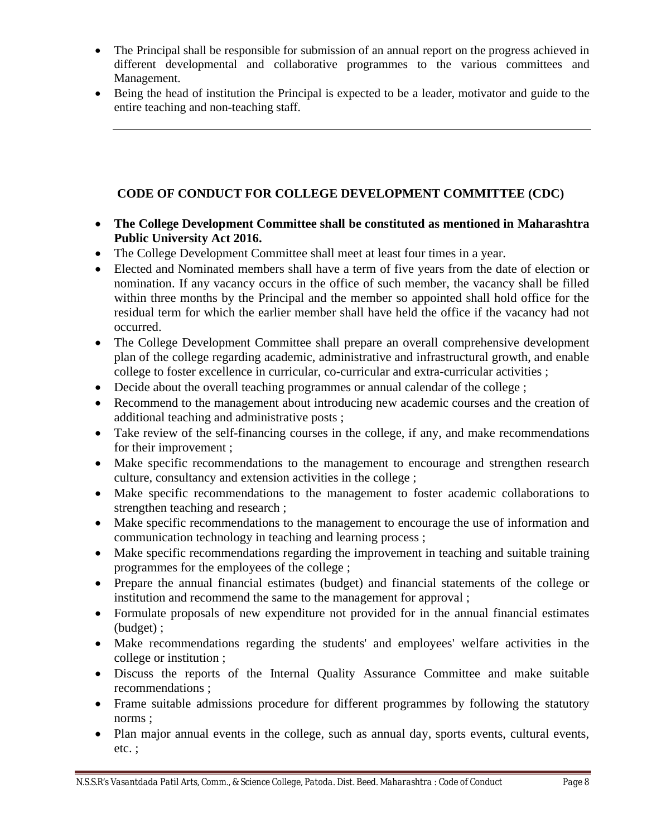- The Principal shall be responsible for submission of an annual report on the progress achieved in different developmental and collaborative programmes to the various committees and Management.
- Being the head of institution the Principal is expected to be a leader, motivator and guide to the entire teaching and non-teaching staff.

#### **CODE OF CONDUCT FOR COLLEGE DEVELOPMENT COMMITTEE (CDC)**

- **The College Development Committee shall be constituted as mentioned in Maharashtra Public University Act 2016.**
- The College Development Committee shall meet at least four times in a year.
- Elected and Nominated members shall have a term of five years from the date of election or nomination. If any vacancy occurs in the office of such member, the vacancy shall be filled within three months by the Principal and the member so appointed shall hold office for the residual term for which the earlier member shall have held the office if the vacancy had not occurred.
- The College Development Committee shall prepare an overall comprehensive development plan of the college regarding academic, administrative and infrastructural growth, and enable college to foster excellence in curricular, co-curricular and extra-curricular activities ;
- Decide about the overall teaching programmes or annual calendar of the college;
- Recommend to the management about introducing new academic courses and the creation of additional teaching and administrative posts ;
- Take review of the self-financing courses in the college, if any, and make recommendations for their improvement ;
- Make specific recommendations to the management to encourage and strengthen research culture, consultancy and extension activities in the college ;
- Make specific recommendations to the management to foster academic collaborations to strengthen teaching and research ;
- Make specific recommendations to the management to encourage the use of information and communication technology in teaching and learning process ;
- Make specific recommendations regarding the improvement in teaching and suitable training programmes for the employees of the college ;
- Prepare the annual financial estimates (budget) and financial statements of the college or institution and recommend the same to the management for approval ;
- Formulate proposals of new expenditure not provided for in the annual financial estimates (budget) ;
- Make recommendations regarding the students' and employees' welfare activities in the college or institution ;
- Discuss the reports of the Internal Quality Assurance Committee and make suitable recommendations ;
- Frame suitable admissions procedure for different programmes by following the statutory norms ;
- Plan major annual events in the college, such as annual day, sports events, cultural events, etc. ;